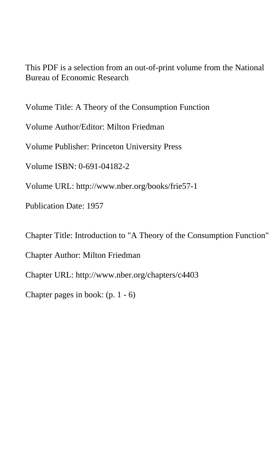This PDF is a selection from an out-of-print volume from the National Bureau of Economic Research

Volume Title: A Theory of the Consumption Function

Volume Author/Editor: Milton Friedman

Volume Publisher: Princeton University Press

Volume ISBN: 0-691-04182-2

Volume URL: http://www.nber.org/books/frie57-1

Publication Date: 1957

Chapter Title: Introduction to "A Theory of the Consumption Function"

Chapter Author: Milton Friedman

Chapter URL: http://www.nber.org/chapters/c4403

Chapter pages in book: (p. 1 - 6)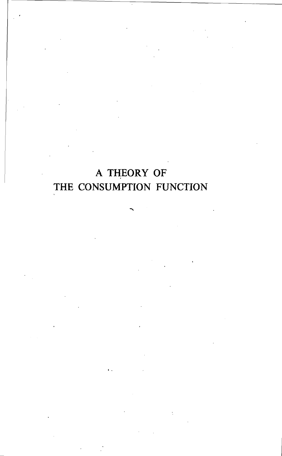# A THEORY OF THE CONSUMPTION FUNCTION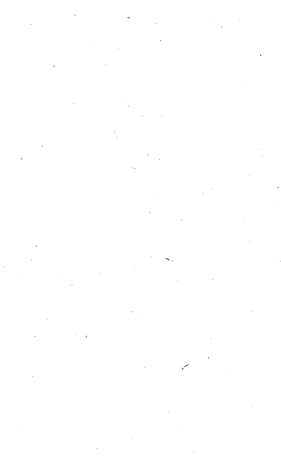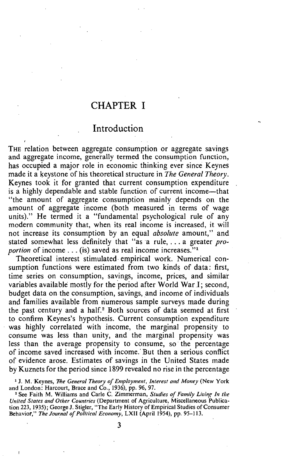## CHAPTER I

## Introduction

THE relation between aggregate consumption or aggregate savings and aggregate income, generally termed the consumption function, has occupied a major role in economic thinking ever since Keynes made it a keystone of his theoretical structure in The General Theory. Keynes took it for granted that current consumption expenditure is a highly dependable and stable function of current income—that "the amount of aggregate consumption mainly depends on the amount of aggregate income (both measured in terms of wage units)." He termed it a "fundamental psychological rule of any modern community that, when its real income is increased, it will not increase its consumption by an equal absolute amount," and stated somewhat less definitely that "as a rule, ... a greater proportion of income . . . (is) saved as real income increases."<sup>1</sup>

Theoretical interest stimulated empirical work. Numerical consumption functions were estimated from two kinds of data: first, time series on consumption, savings, income, prices, and similar variables available mostly for the period after World War I; second, budget data on the consumption, savings, and income of individuals and families available from numerous sample surveys made during the past century and a half.<sup>2</sup> Both sources of data seemed at first to confirm Keynes's hypothesis. Current consumption expenditure was highly correlated with income, the marginal propensity to consume was less than unity, and the marginal propensity was less than the average propensity to consume, so the percentage of income saved increased with income.' But then a serious conflict of evidence arose. Estimates of savings in the United States made by Kuznets for the period since 1899 revealed no rise in the percentage

<sup>1</sup> J. M. Keynes, The General Theory of Employment, Interest and Money (New York and London: Harcourt, Brace and Co., 1936), pp. 96, 97.

<sup>2</sup> See Faith M. Williams and Carle C. Zimmerman, Studies of Family Living In the United States and Other Countries (Department of Agriculture, Miscellaneous Publication 223, 1935); George J. Stigler, "The Early History of Empirical Studies of Consumer Behavior," The Journal of Political Economy, LXII (April 1954), pp. 95-113.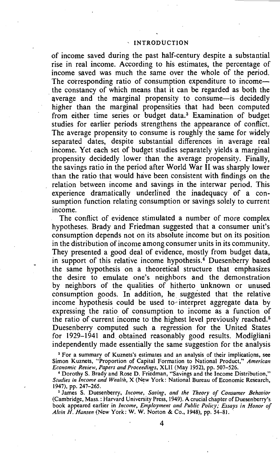### INTRODUCTION

of income saved during the past half-century despite a substantial rise in real income. According to his estimates, the percentage of income saved was much the same over the whole of the period. The corresponding ratio of consumption expenditure to income the constancy of which means that it can be regarded as both the average and the marginal propensity to consume—is decidedly higher than the marginal propensities that had been computed from either time series or budget data.<sup>3</sup> Examination of budget studies for earlier periods strengthens the appearance of conflict. The average propensity to consume is roughly the same for widely separated dates, despite substantial differences in average real income. Yet each set of budget studies separately yields a marginal propensity decidedly lower than the average propensity. Finally, the savings ratio in the period after World War IL was sharply lower than the ratio that would have been consistent with findings on the relation between income and savings in the interwar period. This experience dramatically underlined the inadequacy of a consumption function relating consumption or savings solely to current income.

The conflict of evidence stimulated a number of more complex hypotheses. Brady and Friedman suggested that a consumer unit's consumption depends not on its absolute income but on its position in the distribution of income among consumer units in its community. They presented a good deal of evidence, mostly from budget data, in support of this relative income hypothesis.<sup>4</sup> Duesenberry based the same hypothesis on a theoretical structure that emphasizes the desire to emulate one's neighbors and the demonstration by neighbors of the qualities of hitherto unknown or unused consumption goods. In addition, he suggested that the relative income hypothesis could be used to- interpret aggregate data by expressing the ratio of consumption to income as a function of the ratio of current income to the highest level previously reached.<sup>5</sup> Duesenberry computed such a regression for the United States for 1929—1941 and, obtained reasonably good results. Modigliani independently made essentially the same suggestion for the analysis

<sup>3</sup> For a summary of Kuznets's estimates and an analysis of their implications, see Simon Kuznets, "Proportion of Capital Formation to National Product," American Economic Review, Papers and Proceedings, XLII (May 1952), pp. 507—526.

Dorothy S. Brady and Rose D. Friedman, "Savings and the Income Distribution," Studies in Income and Wealth, X (New York: National Bureau of Economic Research, 1947), pp. 247—265.

<sup>5</sup> James S. Duesenberry, Income, Saving, and the Theory of Consumer Behavior (Cambridge, Mass.: Harvard University Press, 1949). A crucial chapter of Duesenberry's book appeared earlier in Income, Employment and Public Policy; Essays in Honor of Alvin H. Hansen (New York: W. W. Norton & Co., 1948), pp. 54-81.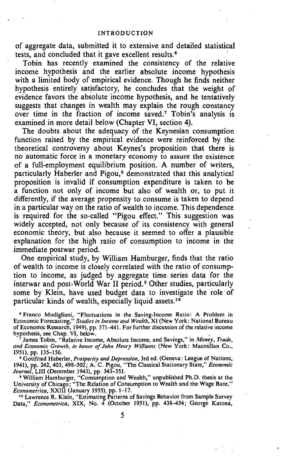of aggregate data, submitted it to extensive and detailed statistical tests, and concluded that it gave excellent results.°

Tobin has recently examined the consistency of the relative income hypothesis and the earlier absolute income hypothesis with a limited body of empirical evidence. Though he finds neither hypothesis entirely satisfactory, he concludes that the weight of evidence favors the absolute income hypothesis, and he tentatively suggests that changes in wealth may explain the rough constancy over time in the fraction of income saved.7 Tobin's analysis is examined in more detail below (Chapter VI, section 4).

The doubts about the adequacy of the Keynesian consumption function raised by the empirical evidence were reinforced by the theoretical controversy about Keynes's proposition that there is no automatic force in a monetary economy to assure the existence of a full-employment equilibrium position. A number of writers, particularly Haberler and Pigou,<sup>8</sup> demonstrated that this analytical proposition is invalid if consumption expenditure is taken to be a function not only of income but also of wealth or, to put it differently, if the average propensity to consume is taken to depend in a particular way on the ratio of wealth to income. This dependence is required for the so-called "Pigou effect." This suggestion was widely accepted, not only because of its consistency with general economic theory, but also because it seemed to offer a plausible explanation for the high ratio of consumption to income in the immediate postwar period.

One empirical study, by William Hamburger, finds that the ratio of wealth to income is closely correlated with the ratio of consumption to income, as judged by aggregate time series data for the interwar and post-World War II period.9 Other studies, particularly some by Klein, have used budget data to investigate the role of particular kinds of wealth, especially liquid assets.'°

<sup>6</sup> Franco Modigliani, "Fluctuations in the Saving-Income Ratio: A Problem in Economic Forecasting," Studies in Income and Wealth, XI (New York: National Bureau of Economic Research, 1949), pp. 371—441. For further discussion of the relative income hypothesis, see Chap. VI, below.

James Tobin, "Relative Income, Absolute Income, and Savings," in Money, Trade, and Economic Growth, in honor of John Henry Williams (New York: Macmillan Co., 1951), pp. 135—156.

Gottfried Haberler, Prosperity and Depression, 3rd ed. (Geneva: League of Nations, 1941), pp. 242, 403, 498–502; A. C. Pigou, "The Classical Stationary State," *Economic* Journal, LIII (December 1943), pp. 343—351.

° William Hamburger, "Consumption and Wealth," unpublished Ph.D. thesis at the University of Chicago; "The Relation of Consumption to Wealth and the Wage Rate," Economerrica, XXIII (January 1955), pp. 1—17.

<sup>10</sup> Lawrence R. Klein, "Estimating Patterns of Savings Behavior from Sample Survey Data," Econometrica, XIX, No. 4 (October 1951), pp. 438-454; George Katona,